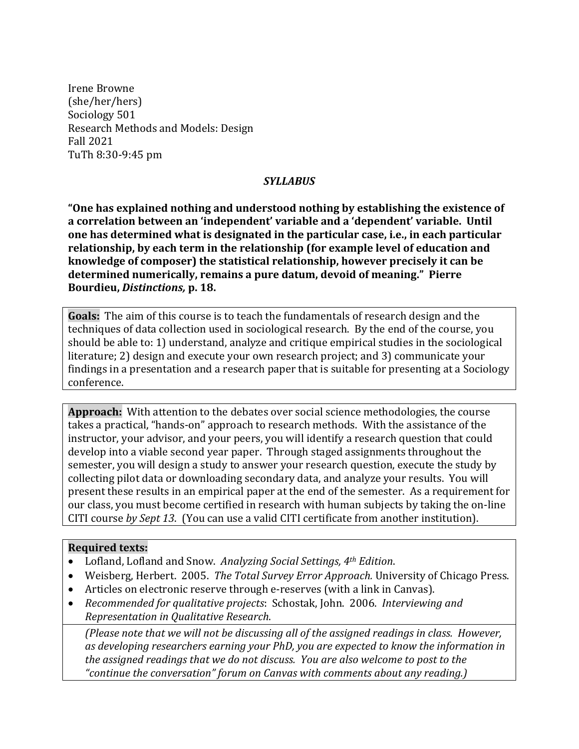Irene Browne (she/her/hers) Sociology 501 Research Methods and Models: Design Fall 2021 TuTh 8:30-9:45 pm

#### *SYLLABUS*

"One has explained nothing and understood nothing by establishing the existence of a correlation between an 'independent' variable and a 'dependent' variable. Until one has determined what is designated in the particular case, i.e., in each particular relationship, by each term in the relationship (for example level of education and knowledge of composer) the statistical relationship, however precisely it can be determined numerically, remains a pure datum, devoid of meaning." Pierre **Bourdieu,** *Distinctions,* **p. 18.**

**Goals:** The aim of this course is to teach the fundamentals of research design and the techniques of data collection used in sociological research. By the end of the course, you should be able to: 1) understand, analyze and critique empirical studies in the sociological literature; 2) design and execute your own research project; and 3) communicate your findings in a presentation and a research paper that is suitable for presenting at a Sociology conference. 

**Approach:** With attention to the debates over social science methodologies, the course takes a practical, "hands-on" approach to research methods. With the assistance of the instructor, your advisor, and your peers, you will identify a research question that could develop into a viable second year paper. Through staged assignments throughout the semester, you will design a study to answer your research question, execute the study by collecting pilot data or downloading secondary data, and analyze your results. You will present these results in an empirical paper at the end of the semester. As a requirement for our class, you must become certified in research with human subjects by taking the on-line CITI course by Sept 13. (You can use a valid CITI certificate from another institution).

#### **Required texts:**

- Lofland, Lofland and Snow. Analyzing Social Settings, 4<sup>th</sup> Edition.
- Weisberg, Herbert. 2005. *The Total Survey Error Approach*. University of Chicago Press.
- Articles on electronic reserve through e-reserves (with a link in Canvas).
- *Recommended for qualitative projects*: Schostak, John. 2006. *Interviewing and Representation in Qualitative Research*.

*(Please note that we will not be discussing all of the assigned readings in class. However,* as developing researchers earning your PhD, you are expected to know the information in the assigned readings that we do not discuss. You are also welcome to post to the "continue the conversation" forum on Canvas with comments about any reading.)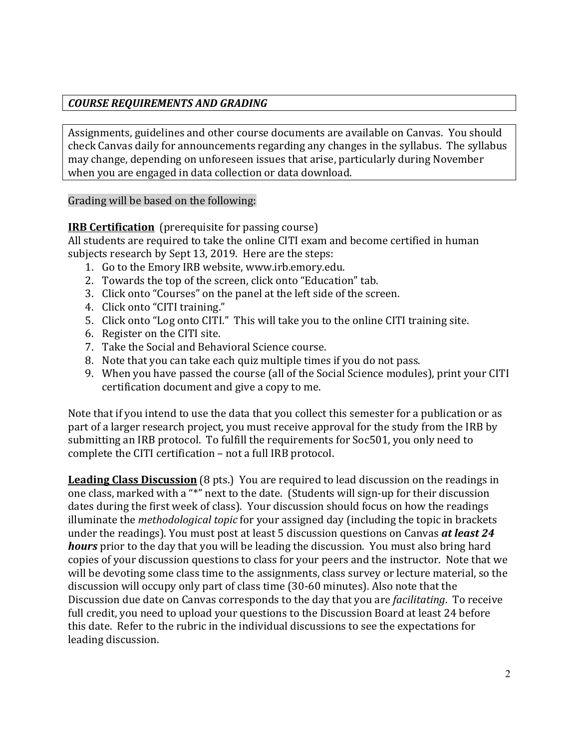# *COURSE REQUIREMENTS AND GRADING*

Assignments, guidelines and other course documents are available on Canvas. You should check Canvas daily for announcements regarding any changes in the syllabus. The syllabus may change, depending on unforeseen issues that arise, particularly during November when you are engaged in data collection or data download.

Grading will be based on the following:

**IRB Certification** (prerequisite for passing course)

All students are required to take the online CITI exam and become certified in human subjects research by Sept 13, 2019. Here are the steps:

- 1. Go to the Emory IRB website, www.irb.emory.edu.
- 2. Towards the top of the screen, click onto "Education" tab.
- 3. Click onto "Courses" on the panel at the left side of the screen.
- 4. Click onto "CITI training."
- 5. Click onto "Log onto CITI." This will take you to the online CITI training site.
- 6. Register on the CITI site.
- 7. Take the Social and Behavioral Science course.
- 8. Note that you can take each quiz multiple times if you do not pass.
- 9. When you have passed the course (all of the Social Science modules), print your CITI certification document and give a copy to me.

Note that if you intend to use the data that you collect this semester for a publication or as part of a larger research project, you must receive approval for the study from the IRB by submitting an IRB protocol. To fulfill the requirements for Soc501, you only need to complete the CITI certification - not a full IRB protocol.

**Leading Class Discussion** (8 pts.) You are required to lead discussion on the readings in one class, marked with a "\*" next to the date. (Students will sign-up for their discussion dates during the first week of class). Your discussion should focus on how the readings illuminate the *methodological topic* for your assigned day (including the topic in brackets under the readings). You must post at least 5 discussion questions on Canvas *at least 24* **hours** prior to the day that you will be leading the discussion. You must also bring hard copies of your discussion questions to class for your peers and the instructor. Note that we will be devoting some class time to the assignments, class survey or lecture material, so the discussion will occupy only part of class time (30-60 minutes). Also note that the Discussion due date on Canvas corresponds to the day that you are *facilitating*. To receive full credit, you need to upload your questions to the Discussion Board at least 24 before this date. Refer to the rubric in the individual discussions to see the expectations for leading discussion.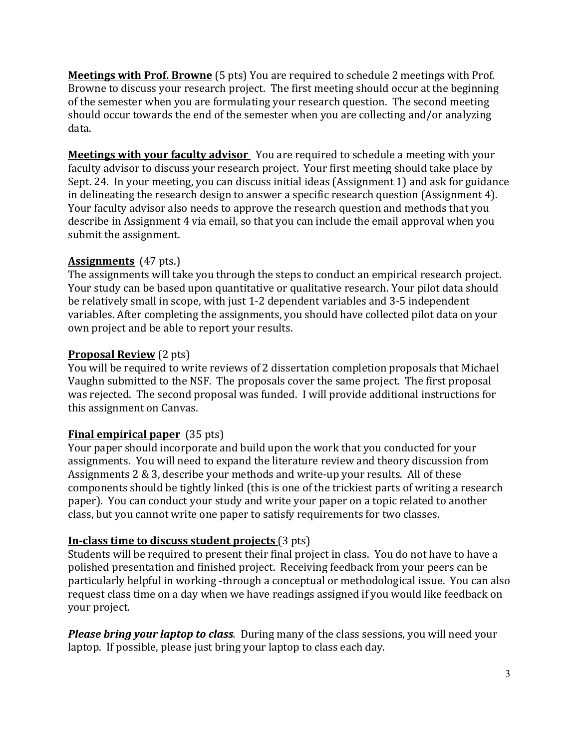**Meetings with Prof. Browne** (5 pts) You are required to schedule 2 meetings with Prof. Browne to discuss your research project. The first meeting should occur at the beginning of the semester when you are formulating your research question. The second meeting should occur towards the end of the semester when you are collecting and/or analyzing data. 

**Meetings with your faculty advisor** You are required to schedule a meeting with your faculty advisor to discuss your research project. Your first meeting should take place by Sept. 24. In your meeting, you can discuss initial ideas (Assignment 1) and ask for guidance in delineating the research design to answer a specific research question (Assignment 4). Your faculty advisor also needs to approve the research question and methods that you describe in Assignment 4 via email, so that you can include the email approval when you submit the assignment.

# **Assignments** (47 pts.)

The assignments will take you through the steps to conduct an empirical research project. Your study can be based upon quantitative or qualitative research. Your pilot data should be relatively small in scope, with just 1-2 dependent variables and 3-5 independent variables. After completing the assignments, you should have collected pilot data on your own project and be able to report your results.

# **Proposal Review** (2 pts)

You will be required to write reviews of 2 dissertation completion proposals that Michael Vaughn submitted to the NSF. The proposals cover the same project. The first proposal was rejected. The second proposal was funded. I will provide additional instructions for this assignment on Canvas.

# **Final empirical paper** (35 pts)

Your paper should incorporate and build upon the work that you conducted for your assignments. You will need to expand the literature review and theory discussion from Assignments  $2 \& 3$ , describe your methods and write-up your results. All of these components should be tightly linked (this is one of the trickiest parts of writing a research paper). You can conduct your study and write your paper on a topic related to another class, but you cannot write one paper to satisfy requirements for two classes.

# **In-class time to discuss student projects** (3 pts)

Students will be required to present their final project in class. You do not have to have a polished presentation and finished project. Receiving feedback from your peers can be particularly helpful in working -through a conceptual or methodological issue. You can also request class time on a day when we have readings assigned if you would like feedback on your project.

**Please bring your laptop to class**. During many of the class sessions, you will need your laptop. If possible, please just bring your laptop to class each day.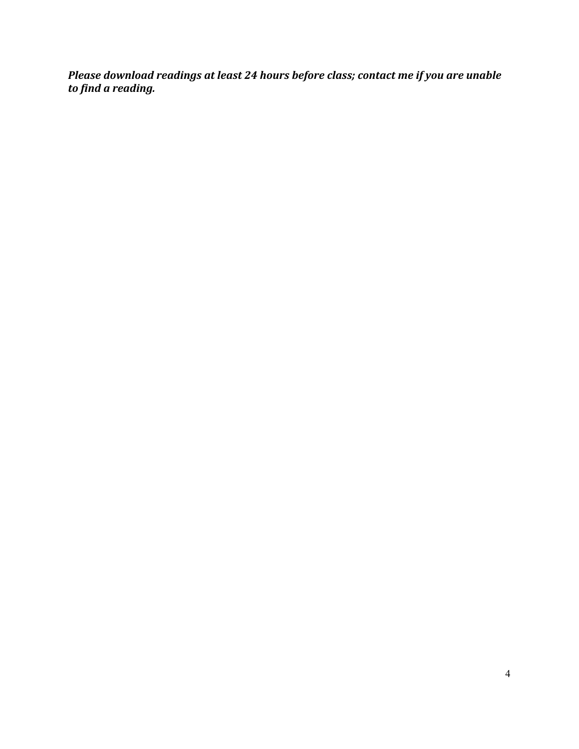Please download readings at least 24 hours before class; contact me if you are unable *to find a reading.*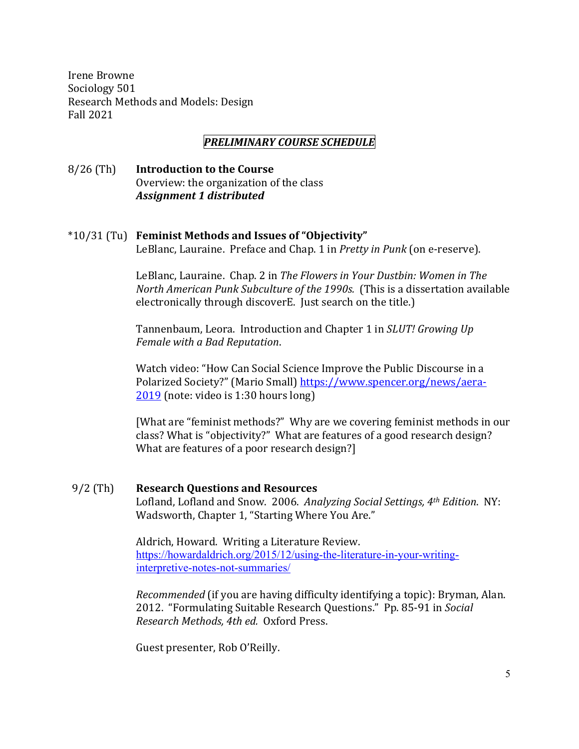Irene Browne Sociology 501 Research Methods and Models: Design Fall 2021

## *PRELIMINARY COURSE SCHEDULE*

8/26 (Th) **Introduction to the Course** Overview: the organization of the class *Assignment 1 distributed*

#### \*10/31 (Tu) **Feminist Methods and Issues of "Objectivity"**

LeBlanc, Lauraine. Preface and Chap. 1 in *Pretty in Punk* (on e-reserve).

LeBlanc, Lauraine. Chap. 2 in *The Flowers in Your Dustbin: Women in The North American Punk Subculture of the 1990s.* (This is a dissertation available electronically through discoverE. Just search on the title.)

Tannenbaum, Leora. Introduction and Chapter 1 in *SLUT! Growing Up Female with a Bad Reputation*. 

Watch video: "How Can Social Science Improve the Public Discourse in a Polarized Society?" (Mario Small) https://www.spencer.org/news/aera- $2019$  (note: video is 1:30 hours long)

[What are "feminist methods?" Why are we covering feminist methods in our class? What is "objectivity?" What are features of a good research design? What are features of a poor research design?]

#### 9/2 (Th) **Research Questions and Resources**

Lofland, Lofland and Snow. 2006. *Analyzing Social Settings, 4<sup>th</sup> Edition*. NY: Wadsworth, Chapter 1, "Starting Where You Are."

Aldrich, Howard. Writing a Literature Review. https://howardaldrich.org/2015/12/using-the-literature-in-your-writinginterpretive-notes-not-summaries/

*Recommended* (if you are having difficulty identifying a topic): Bryman, Alan. 2012. "Formulating Suitable Research Questions." Pp. 85-91 in *Social Research Methods, 4th ed.* Oxford Press.

Guest presenter, Rob O'Reilly.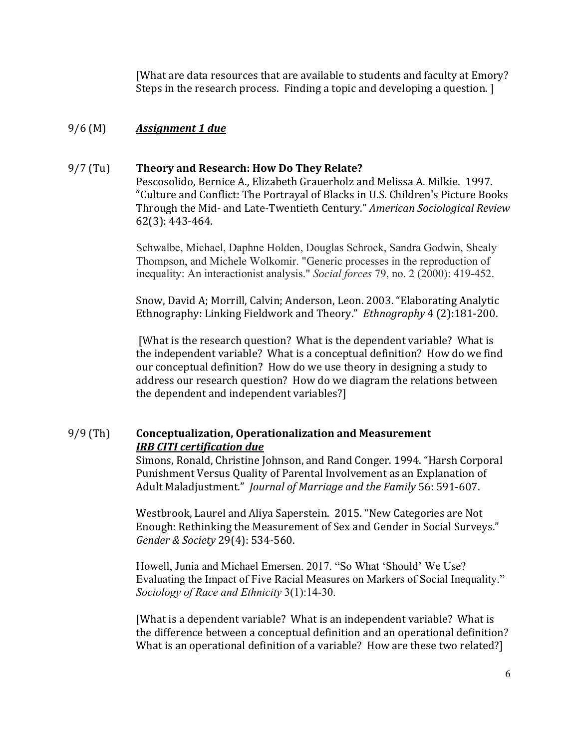[What are data resources that are available to students and faculty at Emory? Steps in the research process. Finding a topic and developing a question. [

# 9/6 (M) *Assignment 1 due*

## 9/7 (Tu) Theory and Research: How Do They Relate?

Pescosolido, Bernice A., Elizabeth Grauerholz and Melissa A. Milkie. 1997. "Culture and Conflict: The Portrayal of Blacks in U.S. Children's Picture Books Through the Mid- and Late-Twentieth Century." *American Sociological Review* 62(3): 443-464.

Schwalbe, Michael, Daphne Holden, Douglas Schrock, Sandra Godwin, Shealy Thompson, and Michele Wolkomir. "Generic processes in the reproduction of inequality: An interactionist analysis." *Social forces* 79, no. 2 (2000): 419-452.

Snow, David A; Morrill, Calvin; Anderson, Leon. 2003. "Elaborating Analytic Ethnography: Linking Fieldwork and Theory." Ethnography 4 (2):181-200.

[What is the research question? What is the dependent variable? What is the independent variable? What is a conceptual definition? How do we find our conceptual definition? How do we use theory in designing a study to address our research question? How do we diagram the relations between the dependent and independent variables?]

# 9/9 (Th) **Conceptualization, Operationalization and Measurement** *IRB* CITI certification due

Simons, Ronald, Christine Johnson, and Rand Conger. 1994. "Harsh Corporal Punishment Versus Quality of Parental Involvement as an Explanation of Adult Maladjustment." *Journal of Marriage and the Family* 56: 591-607.

Westbrook, Laurel and Aliya Saperstein. 2015. "New Categories are Not Enough: Rethinking the Measurement of Sex and Gender in Social Surveys." *Gender & Society* 29(4): 534-560.

Howell, Junia and Michael Emersen. 2017. "So What 'Should' We Use? Evaluating the Impact of Five Racial Measures on Markers of Social Inequality." *Sociology of Race and Ethnicity* 3(1):14-30.

[What is a dependent variable? What is an independent variable? What is the difference between a conceptual definition and an operational definition? What is an operational definition of a variable? How are these two related?]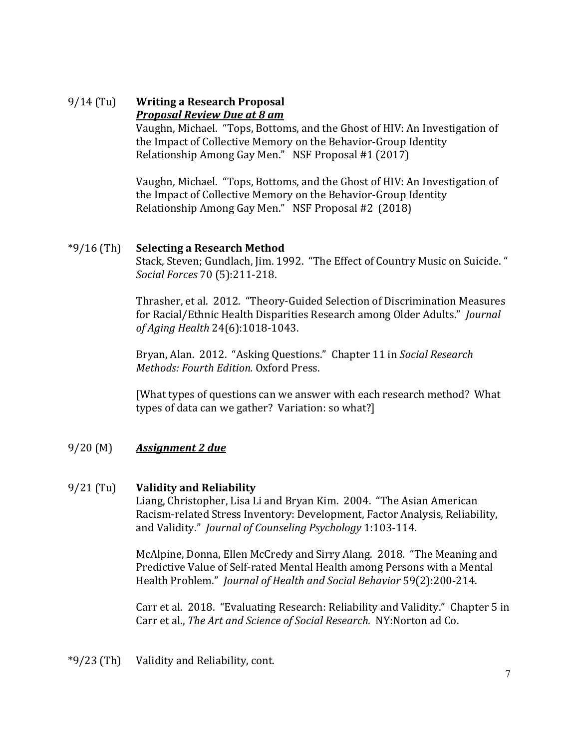## 9/14 (Tu) **Writing a Research Proposal** *Proposal Review Due at 8 am*

Vaughn, Michael. "Tops, Bottoms, and the Ghost of HIV: An Investigation of the Impact of Collective Memory on the Behavior-Group Identity Relationship Among Gay Men." NSF Proposal #1 (2017)

Vaughn, Michael. "Tops, Bottoms, and the Ghost of HIV: An Investigation of the Impact of Collective Memory on the Behavior-Group Identity Relationship Among Gay Men." NSF Proposal  $#2$  (2018)

# \*9/16 (Th) **Selecting a Research Method**

Stack, Steven; Gundlach, Jim. 1992. "The Effect of Country Music on Suicide." *Social Forces* 70 (5):211-218.

Thrasher, et al. 2012. "Theory-Guided Selection of Discrimination Measures for Racial/Ethnic Health Disparities Research among Older Adults." *Journal of Aging Health* 24(6):1018-1043.

Bryan, Alan. 2012. "Asking Questions." Chapter 11 in *Social Research Methods: Fourth Edition.* Oxford Press.

[What types of questions can we answer with each research method? What types of data can we gather? Variation: so what?]

# 9/20 (M) *Assignment 2 due*

# 9/21 (Tu) **Validity and Reliability**

Liang, Christopher, Lisa Li and Bryan Kim. 2004. "The Asian American Racism-related Stress Inventory: Development, Factor Analysis, Reliability, and Validity." *Journal of Counseling Psychology* 1:103-114.

McAlpine, Donna, Ellen McCredy and Sirry Alang. 2018. "The Meaning and Predictive Value of Self-rated Mental Health among Persons with a Mental Health Problem." *Journal of Health and Social Behavior* 59(2):200-214.

Carr et al. 2018. "Evaluating Research: Reliability and Validity." Chapter 5 in Carr et al., *The Art and Science of Social Research.* NY:Norton ad Co.

 $*9/23$  (Th) Validity and Reliability, cont.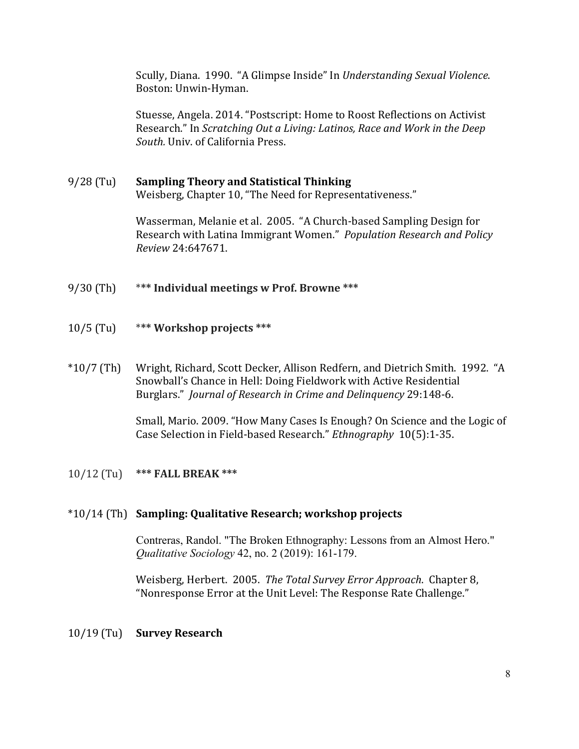Scully, Diana. 1990. "A Glimpse Inside" In *Understanding Sexual Violence*. Boston: Unwin-Hyman.

Stuesse, Angela. 2014. "Postscript: Home to Roost Reflections on Activist Research." In *Scratching Out a Living: Latinos, Race and Work in the Deep* South. Univ. of California Press.

# 9/28 (Tu) **Sampling Theory and Statistical Thinking** Weisberg, Chapter 10, "The Need for Representativeness."

Wasserman, Melanie et al. 2005. "A Church-based Sampling Design for Research with Latina Immigrant Women." *Population Research and Policy Review* 24:647671.

- 9/30 (Th) \*\*\* Individual meetings w Prof. Browne \*\*\*
- 10/5 (Tu) \*\*\* Workshop projects \*\*\*
- \*10/7 (Th) Wright, Richard, Scott Decker, Allison Redfern, and Dietrich Smith. 1992. "A Snowball's Chance in Hell: Doing Fieldwork with Active Residential Burglars." *Journal of Research in Crime and Delinquency* 29:148-6.

Small, Mario. 2009. "How Many Cases Is Enough? On Science and the Logic of Case Selection in Field-based Research." *Ethnography* 10(5):1-35.

# 10/12 (Tu) \*\*\* **FALL BREAK** \*\*\*

#### \*10/14 (Th) **Sampling: Qualitative Research; workshop projects**

Contreras, Randol. "The Broken Ethnography: Lessons from an Almost Hero." *Qualitative Sociology* 42, no. 2 (2019): 161-179.

Weisberg, Herbert. 2005. The Total Survey Error Approach. Chapter 8, "Nonresponse Error at the Unit Level: The Response Rate Challenge."

#### 10/19 (Tu) **Survey Research**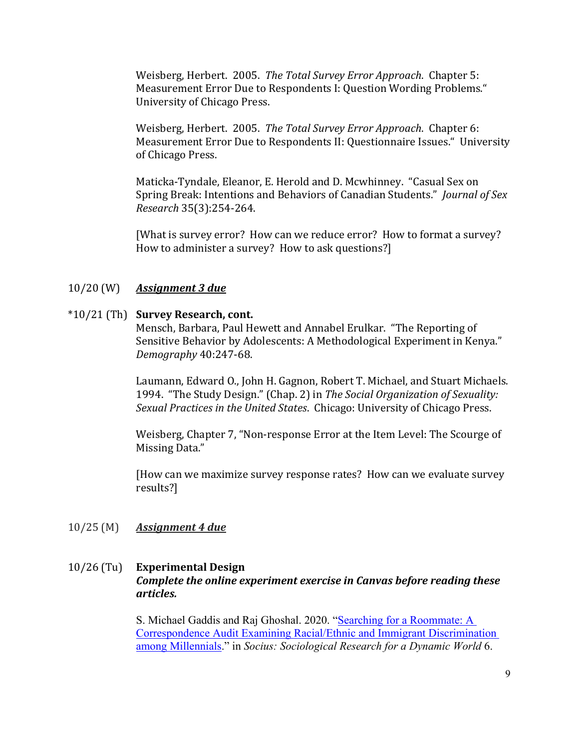Weisberg, Herbert. 2005. *The Total Survey Error Approach*. Chapter 5: Measurement Error Due to Respondents I: Question Wording Problems." University of Chicago Press.

Weisberg, Herbert. 2005. The Total Survey Error Approach. Chapter 6: Measurement Error Due to Respondents II: Questionnaire Issues." University of Chicago Press.

Maticka-Tyndale, Eleanor, E. Herold and D. Mcwhinney. "Casual Sex on Spring Break: Intentions and Behaviors of Canadian Students." *Journal of Sex Research* 35(3):254-264.

[What is survey error? How can we reduce error? How to format a survey? How to administer a survey? How to ask questions?]

## 10/20 (W) *Assignment 3 due*

#### \*10/21 (Th) **Survey Research, cont.**

Mensch, Barbara, Paul Hewett and Annabel Erulkar. "The Reporting of Sensitive Behavior by Adolescents: A Methodological Experiment in Kenya." *Demography* 40:247-68.

Laumann, Edward O., John H. Gagnon, Robert T. Michael, and Stuart Michaels. 1994. "The Study Design." (Chap. 2) in *The Social Organization of Sexuality: Sexual Practices in the United States.* Chicago: University of Chicago Press.

Weisberg, Chapter 7, "Non-response Error at the Item Level: The Scourge of Missing Data."

[How can we maximize survey response rates? How can we evaluate survey results?]

#### 10/25 (M) *Assignment 4 due*

# 10/26 (Tu) **Experimental Design** *Complete the online experiment exercise in Canvas before reading these articles.*

S. Michael Gaddis and Raj Ghoshal. 2020. "Searching for a Roommate: A Correspondence Audit Examining Racial/Ethnic and Immigrant Discrimination among Millennials." in *Socius: Sociological Research for a Dynamic World* 6.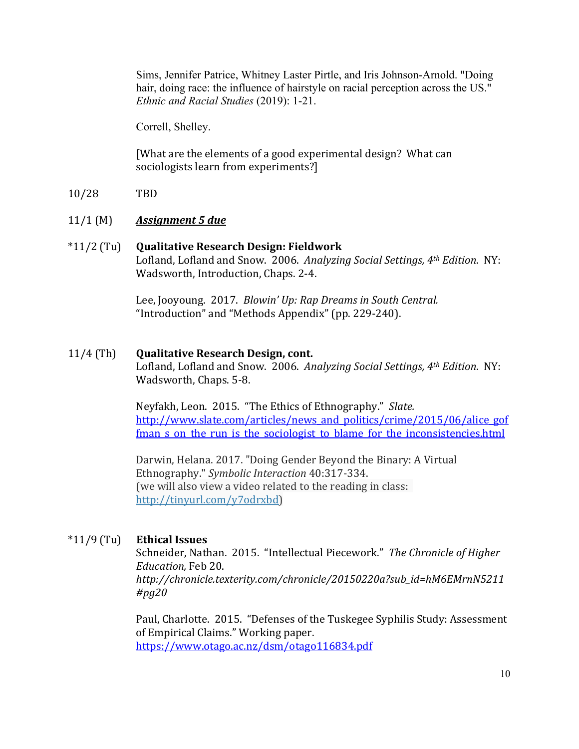Sims, Jennifer Patrice, Whitney Laster Pirtle, and Iris Johnson-Arnold. "Doing hair, doing race: the influence of hairstyle on racial perception across the US." *Ethnic and Racial Studies* (2019): 1-21.

Correll, Shelley.

[What are the elements of a good experimental design? What can sociologists learn from experiments?]

10/28 TBD

# 11/1 (M) *Assignment 5 due*

## \*11/2 (Tu) **Qualitative Research Design: Fieldwork** Lofland, Lofland and Snow. 2006. Analyzing Social Settings, 4<sup>th</sup> Edition. NY: Wadsworth, Introduction, Chaps. 2-4.

Lee, Jooyoung. 2017. *Blowin' Up: Rap Dreams in South Central.* "Introduction" and "Methods Appendix" (pp. 229-240).

## 11/4 (Th) **Qualitative Research Design, cont.**

Lofland, Lofland and Snow. 2006. Analyzing Social Settings, 4<sup>th</sup> Edition. NY: Wadsworth, Chaps. 5-8.

Neyfakh, Leon. 2015. "The Ethics of Ethnography." Slate. http://www.slate.com/articles/news\_and\_politics/crime/2015/06/alice\_gof fman s on the run is the sociologist to blame for the inconsistencies.html

Darwin, Helana. 2017. "Doing Gender Beyond the Binary: A Virtual Ethnography." *Symbolic Interaction* 40:317-334. (we will also view a video related to the reading in class: http://tinyurl.com/y7odrxbd)

# \*11/9 (Tu) **Ethical Issues**

Schneider, Nathan. 2015. "Intellectual Piecework." The Chronicle of Higher *Education,* Feb 20. *http://chronicle.texterity.com/chronicle/20150220a?sub\_id=hM6EMrnN5211 #pg20*

Paul, Charlotte. 2015. "Defenses of the Tuskegee Syphilis Study: Assessment of Empirical Claims." Working paper. https://www.otago.ac.nz/dsm/otago116834.pdf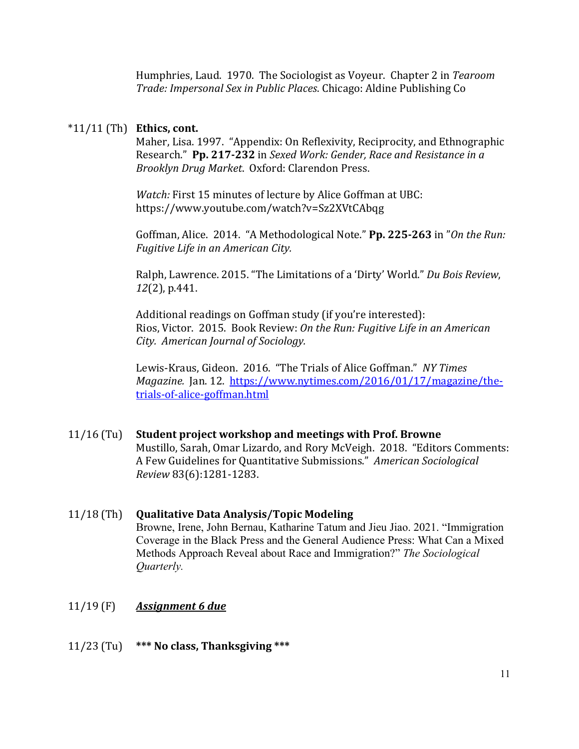Humphries, Laud. 1970. The Sociologist as Voyeur. Chapter 2 in *Tearoom* Trade: Impersonal Sex in Public Places. Chicago: Aldine Publishing Co

#### $*11/11$  (Th) **Ethics, cont.**

Maher, Lisa. 1997. "Appendix: On Reflexivity, Reciprocity, and Ethnographic Research." Pp. 217-232 in Sexed Work: Gender, Race and Resistance in a *Brooklyn Drug Market*. Oxford: Clarendon Press.

*Watch:* First 15 minutes of lecture by Alice Goffman at UBC: https://www.youtube.com/watch?v=Sz2XVtCAbqg

Goffman, Alice. 2014. "A Methodological Note." Pp. 225-263 in "On the Run: **Fugitive Life in an American City.** 

Ralph, Lawrence. 2015. "The Limitations of a 'Dirty' World." Du Bois Review, *12*(2), p.441.

Additional readings on Goffman study (if you're interested): Rios, Victor. 2015. Book Review: On the Run: Fugitive Life in an American *City. American Journal of Sociology.*

Lewis-Kraus, Gideon. 2016. "The Trials of Alice Goffman." NY Times *Magazine.* Jan. 12. https://www.nytimes.com/2016/01/17/magazine/thetrials-of-alice-goffman.html

# 11/16 (Tu) Student project workshop and meetings with Prof. Browne Mustillo, Sarah, Omar Lizardo, and Rory McVeigh. 2018. "Editors Comments: A Few Guidelines for Quantitative Submissions." American Sociological *Review* 83(6):1281-1283.

# 11/18 (Th) **Qualitative Data Analysis/Topic Modeling** Browne, Irene, John Bernau, Katharine Tatum and Jieu Jiao. 2021. "Immigration Coverage in the Black Press and the General Audience Press: What Can a Mixed Methods Approach Reveal about Race and Immigration?" *The Sociological Quarterly.*

# 11/19 (F) *Assignment 6 due*

# 11/23 (Tu) **\*\*\*** No class, Thanksgiving \*\*\*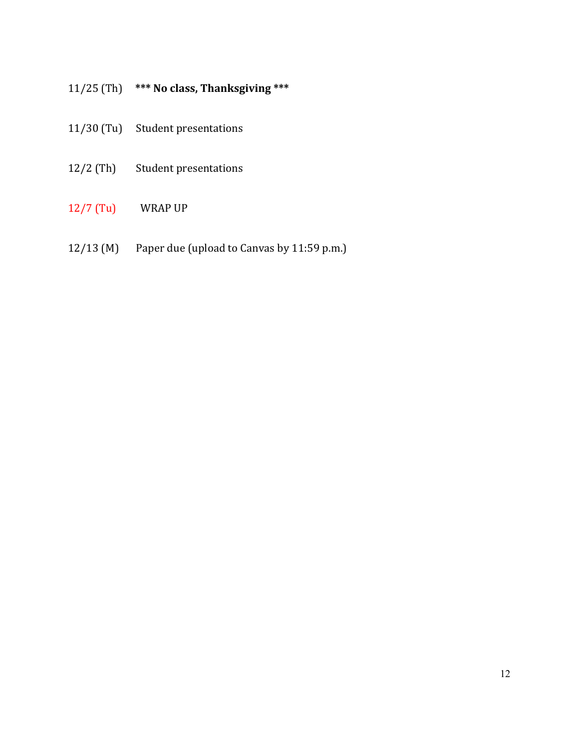# 11/25 (Th) \*\*\* No class, Thanksgiving \*\*\*

- 11/30 (Tu) Student presentations
- 12/2 (Th) Student presentations
- 12/7 (Tu) WRAP UP
- 12/13 (M) Paper due (upload to Canvas by  $11:59$  p.m.)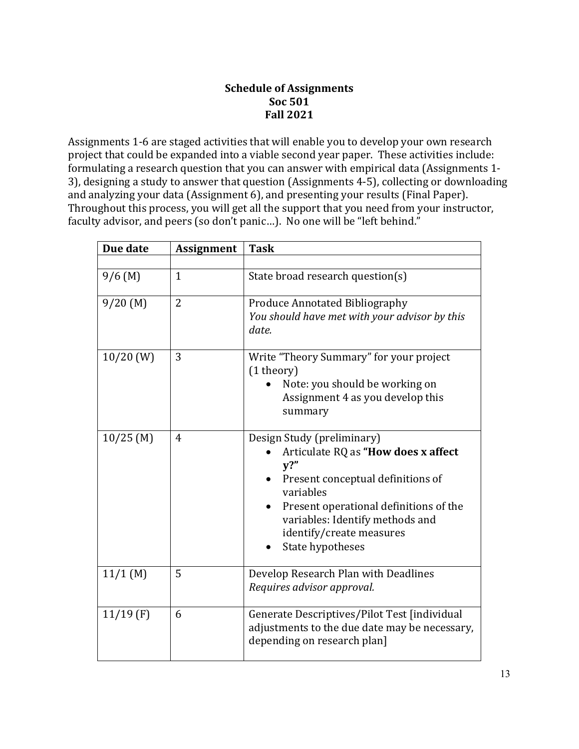# **Schedule of Assignments Soc 501 Fall 2021**

Assignments 1-6 are staged activities that will enable you to develop your own research project that could be expanded into a viable second year paper. These activities include: formulating a research question that you can answer with empirical data (Assignments 1-3), designing a study to answer that question (Assignments 4-5), collecting or downloading and analyzing your data (Assignment 6), and presenting your results (Final Paper). Throughout this process, you will get all the support that you need from your instructor, faculty advisor, and peers (so don't panic...). No one will be "left behind."

| Due date    | <b>Assignment</b> | <b>Task</b>                                                                                                                                                                                                                                                |
|-------------|-------------------|------------------------------------------------------------------------------------------------------------------------------------------------------------------------------------------------------------------------------------------------------------|
|             |                   |                                                                                                                                                                                                                                                            |
| $9/6$ (M)   | $\mathbf{1}$      | State broad research question(s)                                                                                                                                                                                                                           |
| 9/20(M)     | $\overline{2}$    | <b>Produce Annotated Bibliography</b><br>You should have met with your advisor by this<br>date.                                                                                                                                                            |
| $10/20$ (W) | 3                 | Write "Theory Summary" for your project<br>(1 theory)<br>Note: you should be working on<br>Assignment 4 as you develop this<br>summary                                                                                                                     |
| $10/25$ (M) | 4                 | Design Study (preliminary)<br>Articulate RQ as "How does x affect<br>$V$ ?"<br>Present conceptual definitions of<br>variables<br>Present operational definitions of the<br>variables: Identify methods and<br>identify/create measures<br>State hypotheses |
| $11/1$ (M)  | 5                 | Develop Research Plan with Deadlines<br>Requires advisor approval.                                                                                                                                                                                         |
| $11/19$ (F) | 6                 | Generate Descriptives/Pilot Test [individual<br>adjustments to the due date may be necessary,<br>depending on research plan]                                                                                                                               |